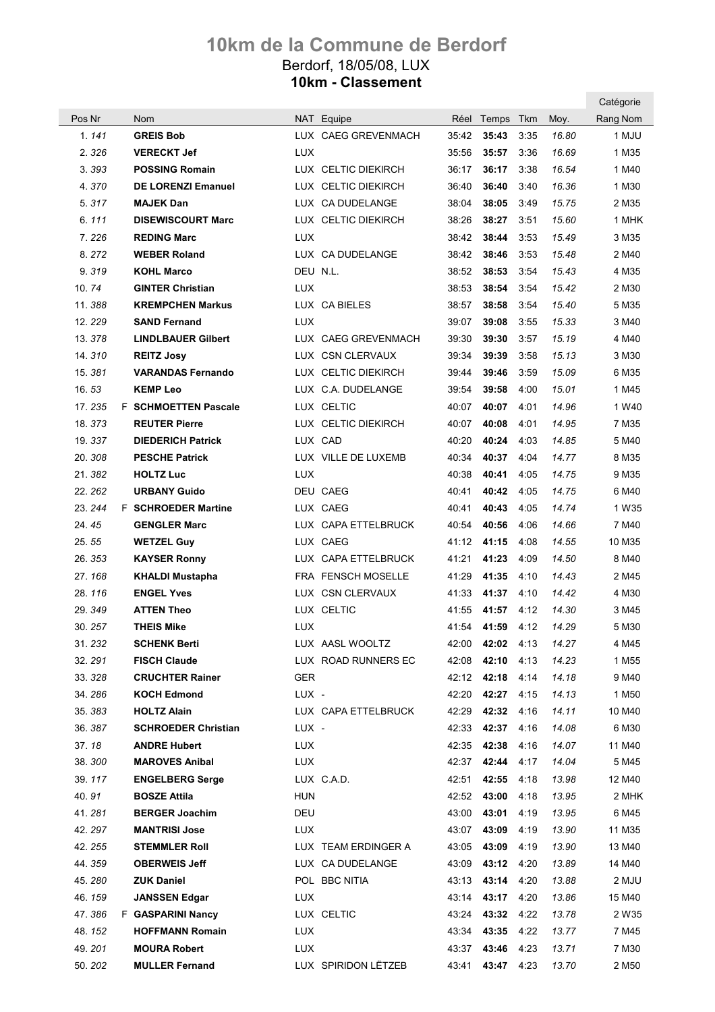|                  |                                                  |            |                     |       |                            |              |                | Catégorie         |
|------------------|--------------------------------------------------|------------|---------------------|-------|----------------------------|--------------|----------------|-------------------|
| Pos Nr           | <b>Nom</b>                                       |            | NAT Equipe          |       | Réel Temps                 | Tkm          | Moy.           | Rang Nom          |
| 1.141            | <b>GREIS Bob</b>                                 |            | LUX CAEG GREVENMACH | 35:42 | 35:43                      | 3:35         | 16.80          | 1 MJU             |
| 2.326            | <b>VERECKT Jef</b>                               | <b>LUX</b> |                     | 35:56 | 35:57                      | 3:36         | 16.69          | 1 M35             |
| 3.393            | <b>POSSING Romain</b>                            |            | LUX CELTIC DIEKIRCH | 36:17 | 36:17                      | 3:38         | 16.54          | 1 M40             |
| 4.370            | <b>DE LORENZI Emanuel</b>                        |            | LUX CELTIC DIEKIRCH | 36:40 | 36:40                      | 3:40         | 16.36          | 1 M30             |
| 5.317            | <b>MAJEK Dan</b>                                 |            | LUX CA DUDELANGE    | 38:04 | 38:05                      | 3:49         | 15.75          | 2 M35             |
| 6.111            | <b>DISEWISCOURT Marc</b>                         |            | LUX CELTIC DIEKIRCH | 38:26 | 38:27                      | 3:51         | 15.60          | 1 MHK             |
| 7.226            | <b>REDING Marc</b>                               | <b>LUX</b> |                     | 38:42 | 38:44                      | 3:53         | 15.49          | 3 M35             |
| 8.272            | <b>WEBER Roland</b>                              |            | LUX CA DUDELANGE    | 38:42 | 38:46                      | 3:53         | 15.48          | 2 M40             |
| 9.319            | <b>KOHL Marco</b>                                | DEU N.L.   |                     | 38:52 | 38:53                      | 3:54         | 15.43          | 4 M35             |
| 10.74            | <b>GINTER Christian</b>                          | <b>LUX</b> |                     | 38:53 | 38:54                      | 3:54         | 15.42          | 2 M30             |
| 11.388           | <b>KREMPCHEN Markus</b>                          |            | LUX CA BIELES       | 38:57 | 38:58                      | 3:54         | 15.40          | 5 M35             |
| 12.229           | <b>SAND Fernand</b>                              | <b>LUX</b> |                     | 39:07 | 39:08                      | 3:55         | 15.33          | 3 M40             |
| 13.378           | <b>LINDLBAUER Gilbert</b>                        |            | LUX CAEG GREVENMACH | 39:30 | 39:30                      | 3:57         | 15.19          | 4 M40             |
| 14.310           | <b>REITZ Josy</b>                                |            | LUX CSN CLERVAUX    | 39:34 | 39:39                      | 3:58         | 15.13          | 3 M30             |
| 15.381           | <b>VARANDAS Fernando</b>                         |            | LUX CELTIC DIEKIRCH | 39:44 | 39:46                      | 3:59         | 15.09          | 6 M35             |
| 16.53            | <b>KEMP Leo</b>                                  |            | LUX C.A. DUDELANGE  | 39:54 | 39:58                      | 4:00         | 15.01          | 1 M45             |
| 17.235           | <b>F</b> SCHMOETTEN Pascale                      |            | LUX CELTIC          | 40:07 | 40:07                      | 4:01         | 14.96          | 1 W <sub>40</sub> |
| 18.373           | <b>REUTER Pierre</b>                             |            | LUX CELTIC DIEKIRCH | 40:07 | 40:08                      | 4:01         | 14.95          | 7 M35             |
| 19.337           | <b>DIEDERICH Patrick</b>                         |            | LUX CAD             | 40:20 | 40:24                      | 4:03         | 14.85          | 5 M40             |
| 20.308           | <b>PESCHE Patrick</b>                            |            | LUX VILLE DE LUXEMB | 40:34 | 40:37                      | 4:04         | 14.77          | 8 M35             |
| 21.382           | <b>HOLTZ Luc</b>                                 | <b>LUX</b> |                     | 40:38 | 40:41                      | 4:05         | 14.75          | 9 M35             |
| 22.262           | <b>URBANY Guido</b>                              |            | DEU CAEG            | 40:41 | 40:42                      | 4:05         | 14.75          | 6 M40             |
| 23.244           | <b>F</b> SCHROEDER Martine                       |            | LUX CAEG            | 40:41 | 40:43                      | 4:05         | 14.74          | 1 W35             |
| 24.45            | <b>GENGLER Marc</b>                              |            | LUX CAPA ETTELBRUCK | 40:54 | 40:56                      | 4:06         | 14.66          | 7 M40             |
| 25.55            | <b>WETZEL Guy</b>                                |            | LUX CAEG            | 41:12 | 41:15                      | 4:08         | 14.55          | 10 M35            |
| 26.353           | <b>KAYSER Ronny</b>                              |            | LUX CAPA ETTELBRUCK | 41:21 | 41:23                      | 4:09         | 14.50          | 8 M40             |
| 27.168           | <b>KHALDI Mustapha</b>                           |            | FRA FENSCH MOSELLE  | 41:29 | 41:35                      | 4:10         | 14.43          | 2 M45             |
| 28.116           | <b>ENGEL Yves</b>                                |            | LUX CSN CLERVAUX    | 41:33 | 41:37                      | 4:10         | 14.42          | 4 M30             |
| 29.349           | <b>ATTEN Theo</b>                                |            | LUX CELTIC          | 41:55 | 41:57                      | 4:12         | 14.30          | 3 M45             |
| 30.257           | THEIS Mike                                       | <b>LUX</b> |                     | 41:54 | 41:59                      | 4:12         | 14.29          | 5 M30             |
| 31.232           | <b>SCHENK Berti</b>                              |            | LUX AASL WOOLTZ     |       | 42:00 42:02 4:13 14.27     |              |                | 4 M45             |
| 32.291           | <b>FISCH Claude</b>                              |            | LUX ROAD RUNNERS EC |       | 42:08 42:10 4:13           |              | 14.23          | 1 M <sub>55</sub> |
| 33.328           | <b>CRUCHTER Rainer</b>                           | <b>GER</b> |                     |       | 42:12 42:18 4:14           |              | 14.18          | 9 M40             |
| 34.286           | <b>KOCH Edmond</b>                               | LUX -      |                     |       | 42:20 42:27 4:15           |              | 14.13          | 1 M50             |
| 35.383<br>36.387 | <b>HOLTZ Alain</b><br><b>SCHROEDER Christian</b> | LUX -      | LUX CAPA ETTELBRUCK |       | 42:29 42:32<br>42:33 42:37 | 4:16<br>4:16 | 14.11<br>14.08 | 10 M40<br>6 M30   |
| 37.18            | <b>ANDRE Hubert</b>                              | LUX        |                     |       | 42:35 42:38                | 4:16         | 14.07          | 11 M40            |
| 38.300           | <b>MAROVES Anibal</b>                            | LUX        |                     |       | 42:37 42:44 4:17           |              | 14.04          | 5 M45             |
| 39.117           | <b>ENGELBERG Serge</b>                           |            | LUX C.A.D.          |       | 42:51 42:55                | 4:18         | 13.98          | 12 M40            |
| 40.91            | <b>BOSZE Attila</b>                              | <b>HUN</b> |                     |       | 42:52 43:00                | 4:18         | 13.95          | 2 MHK             |
| 41. 281          | <b>BERGER Joachim</b>                            | DEU        |                     |       | 43:00 43:01                | 4:19         | 13.95          | 6 M45             |
| 42.297           | <b>MANTRISI Jose</b>                             | LUX        |                     |       | 43:07 43:09                | 4:19         | 13.90          | 11 M35            |
| 42.255           | <b>STEMMLER Roll</b>                             |            | LUX TEAM ERDINGER A |       | 43:05 43:09                | 4:19         | 13.90          | 13 M40            |
| 44.359           | <b>OBERWEIS Jeff</b>                             |            | LUX CA DUDELANGE    |       | 43:09  43:12  4:20         |              | 13.89          | 14 M40            |
| 45.280           | <b>ZUK Daniel</b>                                |            | POL BBC NITIA       |       | 43:13 43:14 4:20           |              | 13.88          | 2 MJU             |
| 46.159           | <b>JANSSEN Edgar</b>                             | <b>LUX</b> |                     |       | 43:14 43:17                | 4:20         | 13.86          | 15 M40            |
| 47.386           | <b>F</b> GASPARINI Nancy                         |            | LUX CELTIC          |       | 43:24 43:32 4:22           |              | 13.78          | 2 W <sub>35</sub> |
| 48.152           | <b>HOFFMANN Romain</b>                           | <b>LUX</b> |                     |       | 43:34 43:35 4:22           |              | 13.77          | 7 M45             |
| 49.201           | <b>MOURA Robert</b>                              | <b>LUX</b> |                     |       | 43:37 43:46 4:23           |              | 13.71          | 7 M30             |
| 50.202           | <b>MULLER Fernand</b>                            |            | LUX SPIRIDON LËTZEB |       | 43:41 43:47 4:23           |              | 13.70          | 2 M <sub>50</sub> |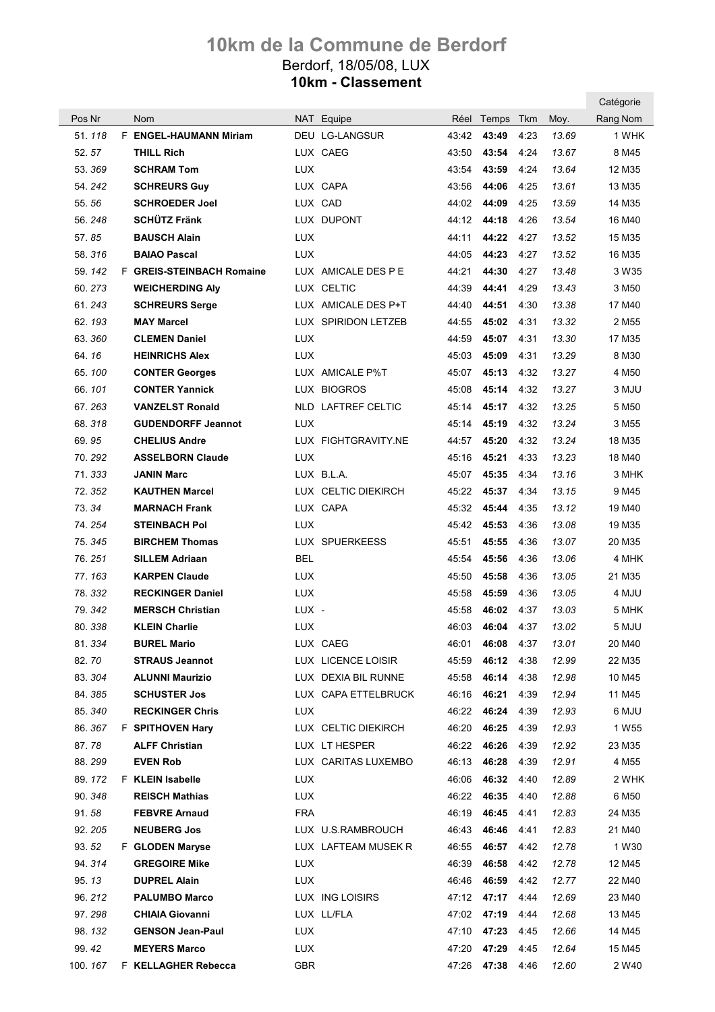|                 |                                         |            |                       |       |                                        |      |                | Catégorie         |
|-----------------|-----------------------------------------|------------|-----------------------|-------|----------------------------------------|------|----------------|-------------------|
| Pos Nr          | <b>Nom</b>                              |            | NAT Equipe            |       | Réel Temps Tkm                         |      | Moy.           | Rang Nom          |
| 51.118          | F ENGEL-HAUMANN Miriam                  |            | <b>DEU LG-LANGSUR</b> | 43:42 | 43:49                                  | 4:23 | 13.69          | 1 WHK             |
| 52.57           | <b>THILL Rich</b>                       |            | LUX CAEG              | 43:50 | 43:54                                  | 4:24 | 13.67          | 8 M45             |
| 53.369          | <b>SCHRAM Tom</b>                       | <b>LUX</b> |                       | 43:54 | 43:59                                  | 4:24 | 13.64          | 12 M35            |
| 54.242          | <b>SCHREURS Guy</b>                     |            | LUX CAPA              | 43:56 | 44:06                                  | 4:25 | 13.61          | 13 M35            |
| 55.56           | <b>SCHROEDER Joel</b>                   |            | LUX CAD               | 44:02 | 44:09                                  | 4:25 | 13.59          | 14 M35            |
| 56.248          | <b>SCHÜTZ Fränk</b>                     |            | LUX DUPONT            | 44:12 | 44:18                                  | 4:26 | 13.54          | 16 M40            |
| 57.85           | <b>BAUSCH Alain</b>                     | <b>LUX</b> |                       | 44:11 | 44:22                                  | 4:27 | 13.52          | 15 M35            |
| 58.316          | <b>BAIAO Pascal</b>                     | <b>LUX</b> |                       | 44:05 | 44:23                                  | 4:27 | 13.52          | 16 M35            |
| 59.142          | F GREIS-STEINBACH Romaine               |            | LUX AMICALE DES P E   | 44:21 | 44:30                                  | 4:27 | 13.48          | 3 W <sub>35</sub> |
| 60.273          | <b>WEICHERDING AIV</b>                  |            | LUX CELTIC            | 44:39 | 44:41                                  | 4:29 | 13.43          | 3 M50             |
| 61.243          | <b>SCHREURS Serge</b>                   |            | LUX AMICALE DES P+T   | 44:40 | 44:51                                  | 4:30 | 13.38          | 17 M40            |
| 62.193          | <b>MAY Marcel</b>                       |            | LUX SPIRIDON LETZEB   | 44:55 | 45:02                                  | 4:31 | 13.32          | 2 M <sub>55</sub> |
| 63.360          | <b>CLEMEN Daniel</b>                    | <b>LUX</b> |                       | 44:59 | 45:07                                  | 4:31 | 13.30          | 17 M35            |
| 64.16           | <b>HEINRICHS Alex</b>                   | <b>LUX</b> |                       | 45:03 | 45:09                                  | 4:31 | 13.29          | 8 M30             |
| 65.100          | <b>CONTER Georges</b>                   |            | LUX AMICALE P%T       | 45:07 | 45:13                                  | 4:32 | 13.27          | 4 M <sub>50</sub> |
| 66.101          | <b>CONTER Yannick</b>                   |            | LUX BIOGROS           | 45:08 | 45:14                                  | 4:32 | 13.27          | 3 MJU             |
| 67.263          | <b>VANZELST Ronald</b>                  |            | NLD LAFTREF CELTIC    | 45:14 | 45:17                                  | 4:32 | 13.25          | 5 M <sub>50</sub> |
| 68.318          | <b>GUDENDORFF Jeannot</b>               | <b>LUX</b> |                       | 45:14 | 45:19                                  | 4:32 | 13.24          | 3 M55             |
| 69.95           | <b>CHELIUS Andre</b>                    |            | LUX FIGHTGRAVITY.NE   | 44:57 | 45:20                                  | 4:32 | 13.24          | 18 M35            |
| 70.292          | <b>ASSELBORN Claude</b>                 | <b>LUX</b> |                       | 45:16 | 45:21                                  | 4:33 | 13.23          | 18 M40            |
| 71.333          | <b>JANIN Marc</b>                       |            | LUX B.L.A.            | 45:07 | 45:35                                  | 4:34 | 13.16          | 3 MHK             |
| 72.352          | <b>KAUTHEN Marcel</b>                   |            | LUX CELTIC DIEKIRCH   | 45:22 | 45:37                                  | 4:34 | 13.15          | 9 M45             |
| 73.34           | <b>MARNACH Frank</b>                    |            | LUX CAPA              | 45:32 | 45:44                                  | 4:35 | 13.12          | 19 M40            |
| 74.254          | <b>STEINBACH Pol</b>                    | <b>LUX</b> |                       | 45:42 | 45:53                                  | 4:36 | 13.08          | 19 M35            |
| 75.345          | <b>BIRCHEM Thomas</b>                   |            | LUX SPUERKEESS        | 45:51 | 45:55                                  | 4:36 | 13.07          | 20 M35            |
| 76.251          | <b>SILLEM Adriaan</b>                   | <b>BEL</b> |                       | 45:54 | 45:56                                  | 4:36 | 13.06          | 4 MHK             |
| 77.163          | <b>KARPEN Claude</b>                    | <b>LUX</b> |                       | 45:50 | 45:58                                  | 4:36 | 13.05          | 21 M35            |
| 78.332          | <b>RECKINGER Daniel</b>                 | LUX.       |                       | 45:58 | 45:59                                  | 4:36 | 13.05          | 4 MJU             |
| 79.342          | <b>MERSCH Christian</b>                 | LUX -      |                       | 45:58 | 46:02                                  | 4:37 | 13.03          | 5 MHK             |
| 80.338          | <b>KLEIN Charlie</b>                    | <b>LUX</b> |                       | 46:03 | 46:04 4:37                             |      | 13.02          | 5 MJU             |
| 81.334          | <b>BUREL Mario</b>                      |            | LUX CAEG              |       | 46:01 46:08 4:37 13.01                 |      |                | 20 M40            |
| 82.70           | <b>STRAUS Jeannot</b>                   |            | LUX LICENCE LOISIR    |       | 45:59  46:12  4:38                     |      | 12.99          | 22 M35            |
| 83.304          | <b>ALUNNI Maurizio</b>                  |            | LUX DEXIA BIL RUNNE   |       | 45:58 46:14 4:38                       |      | 12.98          | 10 M45            |
| 84.385          | <b>SCHUSTER Jos</b>                     |            | LUX CAPA ETTELBRUCK   |       | 46:16 46:21 4:39                       |      | 12.94          | 11 M45            |
| 85.340          | <b>RECKINGER Chris</b>                  | <b>LUX</b> |                       |       | 46:22 46:24 4:39                       |      | 12.93          | 6 MJU             |
| 86.367          | <b>F</b> SPITHOVEN Hary                 |            | LUX CELTIC DIEKIRCH   |       | 46:20 46:25 4:39                       |      | 12.93          | 1 W <sub>55</sub> |
| 87.78           | <b>ALFF Christian</b>                   |            | LUX LT HESPER         |       | 46:22 46:26 4:39                       |      | 12.92          | 23 M35            |
| 88.299          | <b>EVEN Rob</b>                         |            | LUX CARITAS LUXEMBO   |       | 46:13  46:28  4:39                     |      | 12.91          | 4 M55             |
| 89.172          | <b>F</b> KLEIN Isabelle                 | <b>LUX</b> |                       |       | 46:06 46:32 4:40                       |      | 12.89          | 2 WHK             |
| 90.348          | <b>REISCH Mathias</b>                   | <b>LUX</b> |                       |       | 46:22 46:35 4:40                       |      | 12.88          | 6 M <sub>50</sub> |
| 91.58           | <b>FEBVRE Arnaud</b>                    | <b>FRA</b> |                       |       | 46:19 46:45 4:41                       |      | 12.83          | 24 M35            |
| 92.205          | <b>NEUBERG Jos</b>                      |            | LUX U.S.RAMBROUCH     |       | 46:43 46:46 4:41                       |      | 12.83          | 21 M40            |
| 93.52<br>94.314 | F GLODEN Maryse<br><b>GREGOIRE Mike</b> | <b>LUX</b> | LUX LAFTEAM MUSEK R   |       | 46:55 46:57 4:42<br>46:39  46:58  4:42 |      | 12.78<br>12.78 | 1 W30             |
| 95.13           | <b>DUPREL Alain</b>                     | LUX        |                       |       | 46:46 46:59 4:42                       |      | 12.77          | 12 M45<br>22 M40  |
| 96.212          | <b>PALUMBO Marco</b>                    |            | LUX ING LOISIRS       |       | 47:12 47:17                            | 4:44 | 12.69          | 23 M40            |
| 97.298          | <b>CHIAIA Giovanni</b>                  |            | LUX LL/FLA            |       | 47:02 47:19 4:44                       |      | 12.68          | 13 M45            |
| 98.132          | <b>GENSON Jean-Paul</b>                 | LUX        |                       |       | 47:10 47:23 4:45                       |      | 12.66          | 14 M45            |
| 99.42           | <b>MEYERS Marco</b>                     | LUX        |                       |       | 47:20 47:29 4:45                       |      | 12.64          | 15 M45            |
|                 | 100. 167 F KELLAGHER Rebecca            | GBR.       |                       |       | 47:26 47:38 4:46                       |      | 12.60          | 2 W <sub>40</sub> |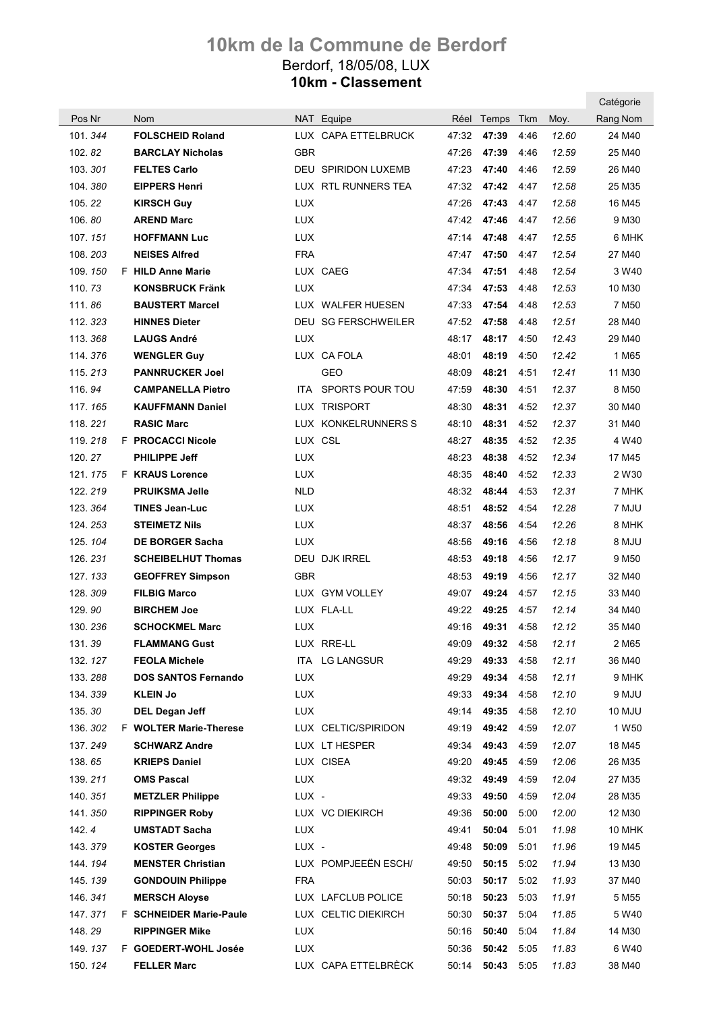|         |                                |            |                            |       |                |      |       | Catégorie         |
|---------|--------------------------------|------------|----------------------------|-------|----------------|------|-------|-------------------|
| Pos Nr  | Nom                            |            | NAT Equipe                 |       | Réel Temps Tkm |      | Moy.  | Rang Nom          |
| 101.344 | <b>FOLSCHEID Roland</b>        |            | LUX CAPA ETTELBRUCK        | 47:32 | 47:39          | 4:46 | 12.60 | 24 M40            |
| 102.82  | <b>BARCLAY Nicholas</b>        | GBR        |                            | 47:26 | 47:39          | 4:46 | 12.59 | 25 M40            |
| 103.301 | <b>FELTES Carlo</b>            |            | <b>DEU SPIRIDON LUXEMB</b> | 47:23 | 47:40          | 4:46 | 12.59 | 26 M40            |
| 104.380 | <b>EIPPERS Henri</b>           |            | LUX RTL RUNNERS TEA        | 47:32 | 47:42          | 4:47 | 12.58 | 25 M35            |
| 105.22  | <b>KIRSCH Guy</b>              | <b>LUX</b> |                            | 47:26 | 47:43          | 4:47 | 12.58 | 16 M45            |
| 106.80  | <b>AREND Marc</b>              | LUX.       |                            | 47:42 | 47:46          | 4:47 | 12.56 | 9 M30             |
| 107.151 | <b>HOFFMANN Luc</b>            | <b>LUX</b> |                            | 47:14 | 47:48          | 4:47 | 12.55 | 6 MHK             |
| 108.203 | <b>NEISES Alfred</b>           | <b>FRA</b> |                            | 47:47 | 47:50          | 4:47 | 12.54 | 27 M40            |
| 109.150 | F HILD Anne Marie              |            | LUX CAEG                   | 47:34 | 47:51          | 4:48 | 12.54 | 3 W <sub>40</sub> |
| 110.73  | <b>KONSBRUCK Fränk</b>         | <b>LUX</b> |                            | 47:34 | 47:53          | 4:48 | 12.53 | 10 M30            |
| 111.86  | <b>BAUSTERT Marcel</b>         |            | LUX WALFER HUESEN          | 47:33 | 47:54          | 4:48 | 12.53 | 7 M <sub>50</sub> |
| 112.323 | <b>HINNES Dieter</b>           |            | DEU SG FERSCHWEILER        | 47:52 | 47:58          | 4:48 | 12.51 | 28 M40            |
| 113.368 | <b>LAUGS André</b>             | <b>LUX</b> |                            | 48:17 | 48:17          | 4:50 | 12.43 | 29 M40            |
| 114.376 | <b>WENGLER Guy</b>             |            | LUX CA FOLA                | 48:01 | 48:19          | 4:50 | 12.42 | 1 M65             |
| 115.213 | <b>PANNRUCKER Joel</b>         |            | GEO                        | 48:09 | 48:21          | 4:51 | 12.41 | 11 M30            |
| 116.94  | <b>CAMPANELLA Pietro</b>       |            | ITA SPORTS POUR TOU        | 47:59 | 48:30          | 4:51 | 12.37 | 8 M <sub>50</sub> |
| 117.165 | <b>KAUFFMANN Daniel</b>        |            | LUX TRISPORT               | 48:30 | 48:31          | 4:52 | 12.37 | 30 M40            |
| 118.221 | <b>RASIC Marc</b>              |            | LUX KONKELRUNNERS S        | 48:10 | 48:31          | 4:52 | 12.37 | 31 M40            |
| 119.218 | F PROCACCI Nicole              | LUX CSL    |                            | 48:27 | 48:35          | 4:52 | 12.35 | 4 W40             |
| 120.27  | <b>PHILIPPE Jeff</b>           | <b>LUX</b> |                            | 48:23 | 48:38          | 4:52 | 12.34 | 17 M45            |
| 121.175 | <b>F KRAUS Lorence</b>         | <b>LUX</b> |                            | 48:35 | 48:40          | 4:52 | 12.33 | 2 W30             |
| 122.219 | <b>PRUIKSMA Jelle</b>          | <b>NLD</b> |                            | 48:32 | 48:44          | 4:53 | 12.31 | 7 MHK             |
| 123.364 | <b>TINES Jean-Luc</b>          | <b>LUX</b> |                            | 48:51 | 48:52          | 4:54 | 12.28 | 7 MJU             |
| 124.253 | <b>STEIMETZ Nils</b>           | <b>LUX</b> |                            | 48:37 | 48:56          | 4:54 | 12.26 | 8 MHK             |
| 125.104 | <b>DE BORGER Sacha</b>         | <b>LUX</b> |                            | 48:56 | 49:16          | 4:56 | 12.18 | ULM 8             |
| 126.231 | <b>SCHEIBELHUT Thomas</b>      |            | DEU DJK IRREL              | 48:53 | 49:18          | 4:56 | 12.17 | 9 M <sub>50</sub> |
| 127.133 | <b>GEOFFREY Simpson</b>        | <b>GBR</b> |                            | 48:53 | 49:19          | 4:56 | 12.17 | 32 M40            |
| 128.309 | <b>FILBIG Marco</b>            |            | LUX GYM VOLLEY             | 49:07 | 49:24          | 4:57 | 12.15 | 33 M40            |
| 129.90  | <b>BIRCHEM Joe</b>             |            | LUX FLA-LL                 | 49:22 | 49:25          | 4:57 | 12.14 | 34 M40            |
| 130.236 | <b>SCHOCKMEL Marc</b>          | <b>LUX</b> |                            | 49:16 | 49:31          | 4:58 | 12.12 | 35 M40            |
| 131.39  | <b>FLAMMANG Gust</b>           |            | LUX RRE-LL                 | 49:09 | 49:32          | 4:58 | 12.11 | 2 M65             |
| 132.127 | <b>FEOLA Michele</b>           |            | ITA LG LANGSUR             | 49:29 | 49:33          | 4:58 | 12.11 | 36 M40            |
| 133.288 | <b>DOS SANTOS Fernando</b>     | LUX        |                            | 49:29 | 49:34          | 4:58 | 12.11 | 9 MHK             |
| 134.339 | <b>KLEIN Jo</b>                | <b>LUX</b> |                            | 49:33 | 49:34          | 4:58 | 12.10 | 9 MJU             |
| 135.30  | DEL Degan Jeff                 | <b>LUX</b> |                            | 49:14 | 49:35          | 4:58 | 12.10 | 10 MJU            |
| 136.302 | F WOLTER Marie-Therese         |            | LUX CELTIC/SPIRIDON        | 49:19 | 49:42          | 4:59 | 12.07 | 1 W <sub>50</sub> |
| 137.249 | <b>SCHWARZ Andre</b>           |            | LUX LT HESPER              | 49:34 | 49:43          | 4:59 | 12.07 | 18 M45            |
| 138.65  | <b>KRIEPS Daniel</b>           |            | LUX CISEA                  | 49:20 | 49:45          | 4:59 | 12.06 | 26 M35            |
| 139.211 | <b>OMS Pascal</b>              | <b>LUX</b> |                            | 49:32 | 49:49          | 4:59 | 12.04 | 27 M35            |
| 140.351 | <b>METZLER Philippe</b>        | LUX -      |                            | 49:33 | 49:50          | 4:59 | 12.04 | 28 M35            |
| 141.350 | <b>RIPPINGER Roby</b>          |            | LUX VC DIEKIRCH            | 49:36 | 50:00          | 5:00 | 12.00 | 12 M30            |
| 142.4   | <b>UMSTADT Sacha</b>           | <b>LUX</b> |                            | 49:41 | 50:04          | 5:01 | 11.98 | <b>10 MHK</b>     |
| 143.379 | <b>KOSTER Georges</b>          | LUX -      |                            | 49:48 | 50:09          | 5:01 | 11.96 | 19 M45            |
| 144.194 | <b>MENSTER Christian</b>       |            | LUX POMPJEEËN ESCH/        | 49:50 | 50:15          | 5:02 | 11.94 | 13 M30            |
| 145.139 | <b>GONDOUIN Philippe</b>       | FRA        |                            | 50:03 | 50:17          | 5:02 | 11.93 | 37 M40            |
| 146.341 | <b>MERSCH Aloyse</b>           |            | LUX LAFCLUB POLICE         | 50:18 | 50:23          | 5:03 | 11.91 | 5 M55             |
| 147.371 | <b>F</b> SCHNEIDER Marie-Paule |            | LUX CELTIC DIEKIRCH        | 50:30 | 50:37          | 5:04 | 11.85 | 5 W40             |
| 148.29  | <b>RIPPINGER Mike</b>          | <b>LUX</b> |                            | 50:16 | 50:40          | 5:04 | 11.84 | 14 M30            |
| 149.137 | F GOEDERT-WOHL Josée           | <b>LUX</b> |                            | 50:36 | 50:42          | 5:05 | 11.83 | 6 W40             |
| 150.124 | <b>FELLER Marc</b>             |            | LUX CAPA ETTELBRÈCK        | 50:14 | 50:43          | 5:05 | 11.83 | 38 M40            |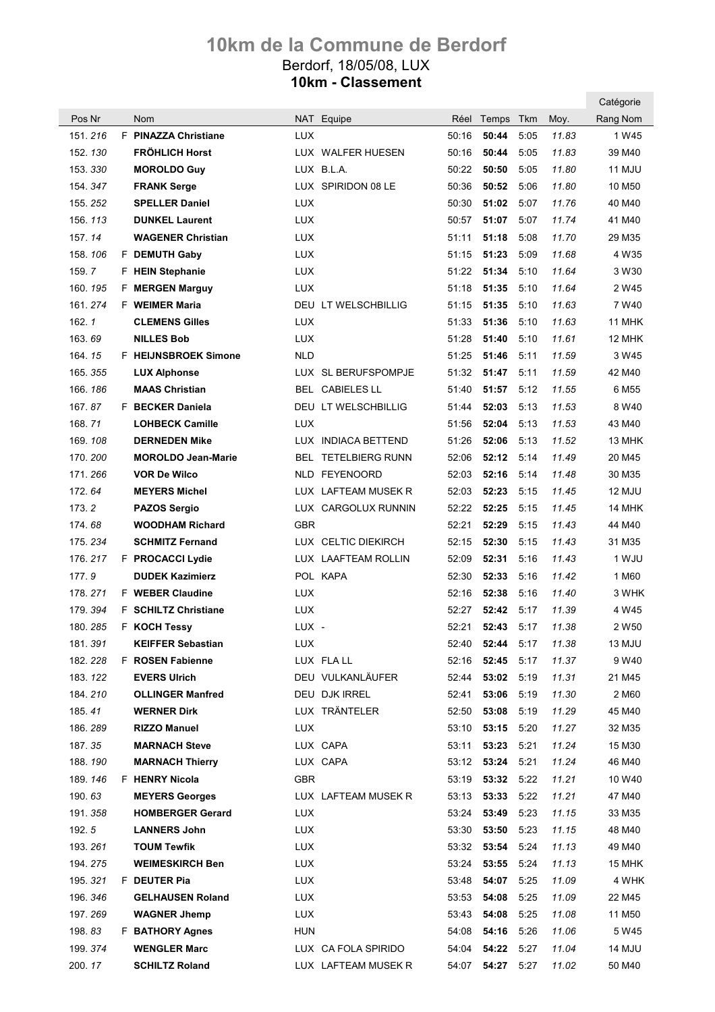|                   |                                               |                          |                            |       |                            |              |                | Catégorie          |
|-------------------|-----------------------------------------------|--------------------------|----------------------------|-------|----------------------------|--------------|----------------|--------------------|
| Pos Nr            | <b>Nom</b>                                    |                          | NAT Equipe                 | Réel  | Temps                      | Tkm          | Moy.           | Rang Nom           |
| 151.216           | F PINAZZA Christiane                          | <b>LUX</b>               |                            | 50:16 | 50:44                      | 5:05         | 11.83          | 1 W45              |
| 152.130           | <b>FRÖHLICH Horst</b>                         |                          | LUX WALFER HUESEN          | 50:16 | 50:44                      | 5:05         | 11.83          | 39 M40             |
| 153.330           | <b>MOROLDO Guy</b>                            |                          | LUX B.L.A.                 | 50:22 | 50:50                      | 5:05         | 11.80          | 11 MJU             |
| 154.347           | <b>FRANK Serge</b>                            |                          | LUX SPIRIDON 08 LE         | 50:36 | 50:52                      | 5:06         | 11.80          | 10 M <sub>50</sub> |
| 155.252           | <b>SPELLER Daniel</b>                         | <b>LUX</b>               |                            | 50:30 | 51:02                      | 5:07         | 11.76          | 40 M40             |
| 156.113           | <b>DUNKEL Laurent</b>                         | <b>LUX</b>               |                            | 50:57 | 51:07                      | 5:07         | 11.74          | 41 M40             |
| 157.14            | <b>WAGENER Christian</b>                      | <b>LUX</b>               |                            | 51:11 | 51:18                      | 5:08         | 11.70          | 29 M35             |
| 158.106           | F DEMUTH Gaby                                 | LUX.                     |                            | 51:15 | 51:23                      | 5:09         | 11.68          | 4 W35              |
| 159.7             | F HEIN Stephanie                              | <b>LUX</b>               |                            | 51:22 | 51:34                      | 5:10         | 11.64          | 3 W30              |
| 160.195           | <b>F</b> MERGEN Marguy                        | <b>LUX</b>               |                            | 51:18 | 51:35                      | 5:10         | 11.64          | 2 W45              |
| 161.274           | <b>F</b> WEIMER Maria                         |                          | DEU LT WELSCHBILLIG        | 51:15 | 51:35                      | 5:10         | 11.63          | 7 W <sub>40</sub>  |
| 162.1             | <b>CLEMENS Gilles</b>                         | <b>LUX</b>               |                            | 51:33 | 51:36                      | 5:10         | 11.63          | 11 MHK             |
| 163.69            | <b>NILLES Bob</b>                             | <b>LUX</b>               |                            | 51:28 | 51:40                      | 5:10         | 11.61          | 12 MHK             |
| 164.15            | F HEIJNSBROEK Simone                          | <b>NLD</b>               |                            | 51:25 | 51:46                      | 5:11         | 11.59          | 3 W <sub>45</sub>  |
| 165.355           | <b>LUX Alphonse</b>                           |                          | LUX SL BERUFSPOMPJE        | 51:32 | 51:47                      | 5:11         | 11.59          | 42 M40             |
| 166.186           | <b>MAAS Christian</b>                         |                          | BEL CABIELES LL            | 51:40 | 51:57                      | 5:12         | 11.55          | 6 M <sub>55</sub>  |
| 167.87            | F BECKER Daniela                              |                          | <b>DEU LT WELSCHBILLIG</b> | 51:44 | 52:03                      | 5:13         | 11.53          | 8 W40              |
| 168.71            | <b>LOHBECK Camille</b>                        | <b>LUX</b>               |                            | 51:56 | 52:04                      | 5:13         | 11.53          | 43 M40             |
| 169.108           | <b>DERNEDEN Mike</b>                          |                          | LUX INDIACA BETTEND        | 51:26 | 52:06                      | 5:13         | 11.52          | 13 MHK             |
| 170.200           | <b>MOROLDO Jean-Marie</b>                     |                          | <b>BEL TETELBIERG RUNN</b> | 52:06 | 52:12                      | 5:14         | 11.49          | 20 M45             |
| 171.266           | <b>VOR De Wilco</b>                           |                          | NLD FEYENOORD              | 52:03 | 52:16                      | 5:14         | 11.48          | 30 M35             |
| 172.64            | <b>MEYERS Michel</b>                          |                          | LUX LAFTEAM MUSEK R        | 52:03 | 52:23                      | 5:15         | 11.45          | 12 MJU             |
| 173.2             | <b>PAZOS Sergio</b>                           |                          | LUX CARGOLUX RUNNIN        | 52:22 | 52:25                      | 5:15         | 11.45          | 14 MHK             |
| 174.68            | <b>WOODHAM Richard</b>                        | <b>GBR</b>               |                            | 52:21 | 52:29                      | 5:15         | 11.43          | 44 M40             |
| 175.234           | <b>SCHMITZ Fernand</b>                        |                          | LUX CELTIC DIEKIRCH        | 52:15 | 52:30                      | 5:15         | 11.43          | 31 M35             |
| 176.217           | F PROCACCI Lydie                              |                          | LUX LAAFTEAM ROLLIN        | 52:09 | 52:31                      | 5:16         | 11.43          | 1 WJU              |
| 177.9             | <b>DUDEK Kazimierz</b>                        |                          | POL KAPA                   | 52:30 | 52:33                      | 5:16         | 11.42          | 1 M60              |
| 178.271           | <b>F</b> WEBER Claudine                       | LUX                      |                            | 52:16 | 52:38                      | 5:16         | 11.40          | 3 WHK              |
| 179.394           | <b>F</b> SCHILTZ Christiane                   | LUX                      |                            | 52:27 | 52:42                      | 5:17         | 11.39          | 4 W45              |
| 180.285           | F KOCH Tessy                                  | LUX -                    |                            | 52:21 | 52:43 5:17                 |              | 11.38          | 2 W <sub>50</sub>  |
| 181.391           | <b>KEIFFER Sebastian</b>                      | LUX.                     |                            |       | 52:40 <b>52:44</b> 5:17    |              | 11.38          | 13 MJU             |
| 182.228           | F ROSEN Fabienne                              |                          | LUX FLALL                  |       | 52:16 52:45 5:17           |              | 11.37          | 9 W40              |
| 183.122           | <b>EVERS Ulrich</b>                           |                          | DEU VULKANLÄUFER           |       | 52:44 53:02                | 5:19         | 11.31          | 21 M45             |
| 184.210           | <b>OLLINGER Manfred</b>                       |                          | DEU DJK IRREL              | 52:41 | 53:06                      | 5:19         | 11.30          | 2 M60              |
| 185.41            | <b>WERNER Dirk</b>                            |                          | LUX TRÄNTELER              |       | 52:50 53:08                | 5:19         | 11.29          | 45 M40             |
| 186.289           | <b>RIZZO Manuel</b>                           | LUX.                     |                            |       | $53:10$ $53:15$            | 5:20         | 11.27          | 32 M35             |
| 187.35            | <b>MARNACH Steve</b>                          |                          | LUX CAPA                   |       | 53:11 53:23                | 5:21         | 11.24          | 15 M30             |
| 188.190           | <b>MARNACH Thierry</b>                        |                          | LUX CAPA                   |       | 53:12 53:24                | 5:21         | 11.24          | 46 M40             |
| 189.146           | F HENRY Nicola                                | <b>GBR</b>               |                            |       | 53:19 53:32                | 5:22         | 11.21          | 10 W40             |
| 190.63            | <b>MEYERS Georges</b>                         |                          | LUX LAFTEAM MUSEK R        |       | $53:13$ $53:33$            | 5:22         | 11.21          | 47 M40             |
| 191.358           | <b>HOMBERGER Gerard</b>                       | <b>LUX</b>               |                            |       | 53:24 53:49                | 5:23         | 11.15          | 33 M35             |
| 192.5             | <b>LANNERS John</b>                           | <b>LUX</b>               |                            |       | 53:30 53:50                | 5:23         | 11.15          | 48 M40             |
| 193.261           | <b>TOUM Tewfik</b>                            | <b>LUX</b>               |                            |       |                            |              | 11.13          | 49 M40             |
| 194.275           | <b>WEIMESKIRCH Ben</b>                        | <b>LUX</b>               |                            |       | 53:24 53:55                | 5:24         | 11.13          | 15 MHK             |
| 195.321           | F DEUTER Pia                                  | LUX                      |                            |       | 53:48 54:07                | 5:25         | 11.09          | 4 WHK              |
| 196.346           | <b>GELHAUSEN Roland</b>                       | <b>LUX</b>               |                            |       | 53:53 54:08                | 5:25         | 11.09          | 22 M45             |
| 197.269<br>198.83 | <b>WAGNER Jhemp</b><br><b>F BATHORY Agnes</b> | <b>LUX</b><br><b>HUN</b> |                            |       | 53:43 54:08<br>54:08 54:16 | 5:25<br>5:26 | 11.08<br>11.06 | 11 M50<br>5 W45    |
| 199.374           | <b>WENGLER Marc</b>                           |                          | LUX CA FOLA SPIRIDO        | 54:04 | 54:22                      | 5:27         | 11.04          | 14 MJU             |
| 200.17            | <b>SCHILTZ Roland</b>                         |                          | LUX LAFTEAM MUSEK R        |       | 54:07 54:27 5:27           |              | 11.02          | 50 M40             |
|                   |                                               |                          |                            |       |                            |              |                |                    |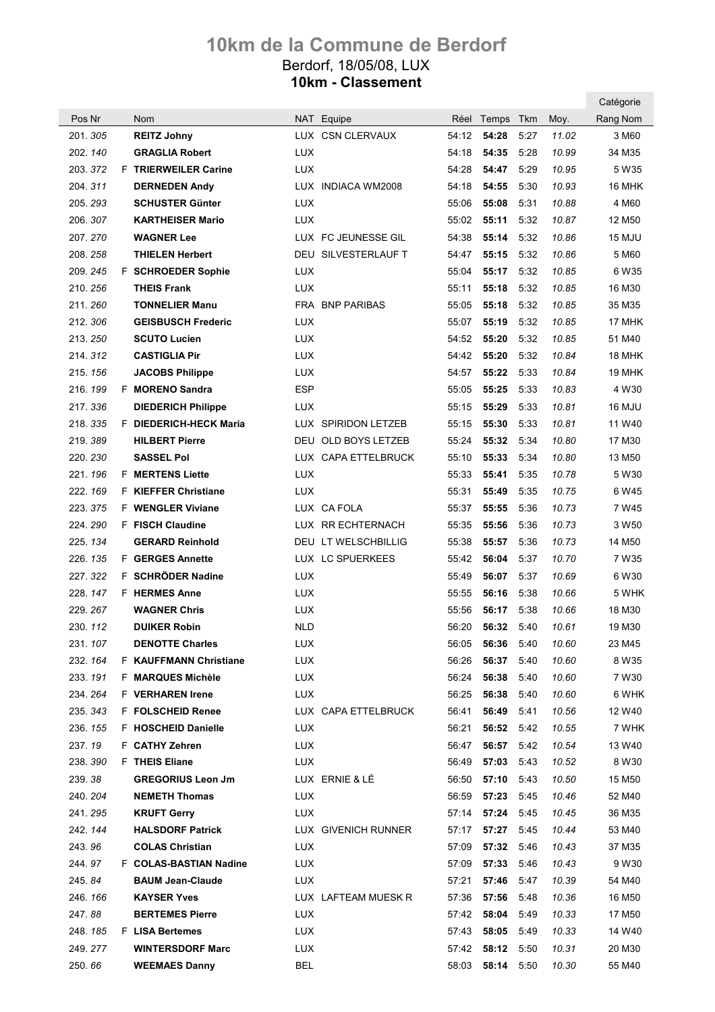|          |                               |            |                        |       |                  |      |       | Catégorie          |
|----------|-------------------------------|------------|------------------------|-------|------------------|------|-------|--------------------|
| Pos Nr   | <b>Nom</b>                    |            | NAT Equipe             |       | Réel Temps       | Tkm  | Moy.  | Rang Nom           |
| 201.305  | <b>REITZ Johny</b>            |            | LUX CSN CLERVAUX       | 54:12 | 54:28            | 5:27 | 11.02 | 3 M60              |
| 202.140  | <b>GRAGLIA Robert</b>         | <b>LUX</b> |                        | 54:18 | 54:35            | 5:28 | 10.99 | 34 M35             |
| 203.372  | <b>F</b> TRIERWEILER Carine   | <b>LUX</b> |                        | 54:28 | 54:47            | 5:29 | 10.95 | 5 W35              |
| 204.311  | <b>DERNEDEN Andy</b>          |            | LUX INDIACA WM2008     | 54:18 | 54:55            | 5:30 | 10.93 | 16 MHK             |
| 205.293  | <b>SCHUSTER Günter</b>        | <b>LUX</b> |                        | 55:06 | 55:08            | 5:31 | 10.88 | 4 M60              |
| 206.307  | <b>KARTHEISER Mario</b>       | <b>LUX</b> |                        | 55:02 | 55:11            | 5:32 | 10.87 | 12 M <sub>50</sub> |
| 207.270  | <b>WAGNER Lee</b>             |            | LUX FC JEUNESSE GIL    | 54:38 | 55:14            | 5:32 | 10.86 | 15 MJU             |
| 208.258  | <b>THIELEN Herbert</b>        |            | DEU SILVESTERLAUF T    | 54:47 | 55:15            | 5:32 | 10.86 | 5 M60              |
| 209.245  | F SCHROEDER Sophie            | <b>LUX</b> |                        | 55:04 | 55:17            | 5:32 | 10.85 | 6 W35              |
| 210.256  | <b>THEIS Frank</b>            | <b>LUX</b> |                        | 55:11 | 55:18            | 5:32 | 10.85 | 16 M30             |
| 211.260  | <b>TONNELIER Manu</b>         |            | <b>FRA BNP PARIBAS</b> | 55:05 | 55:18            | 5:32 | 10.85 | 35 M35             |
| 212.306  | <b>GEISBUSCH Frederic</b>     | <b>LUX</b> |                        | 55:07 | 55:19            | 5:32 | 10.85 | 17 MHK             |
| 213.250  | <b>SCUTO Lucien</b>           | <b>LUX</b> |                        | 54:52 | 55:20            | 5:32 | 10.85 | 51 M40             |
| 214.312  | <b>CASTIGLIA Pir</b>          | LUX        |                        | 54:42 | 55:20            | 5:32 | 10.84 | 18 MHK             |
| 215.156  | <b>JACOBS Philippe</b>        | LUX        |                        | 54:57 | 55:22            | 5:33 | 10.84 | 19 MHK             |
| 216, 199 | F MORENO Sandra               | <b>ESP</b> |                        | 55:05 | 55:25            | 5:33 | 10.83 | 4 W30              |
| 217.336  | <b>DIEDERICH Philippe</b>     | <b>LUX</b> |                        | 55:15 | 55:29            | 5:33 | 10.81 | 16 MJU             |
| 218.335  | F DIEDERICH-HECK Maria        |            | LUX SPIRIDON LETZEB    | 55:15 | 55:30            | 5:33 | 10.81 | 11 W40             |
| 219.389  | <b>HILBERT Pierre</b>         | DEU        | OLD BOYS LETZEB        | 55:24 | 55:32            | 5:34 | 10.80 | 17 M30             |
| 220.230  | <b>SASSEL Pol</b>             |            | LUX CAPA ETTELBRUCK    | 55:10 | 55:33            | 5:34 | 10.80 | 13 M50             |
| 221, 196 | <b>F</b> MERTENS Liette       | <b>LUX</b> |                        | 55:33 | 55:41            | 5:35 | 10.78 | 5 W30              |
| 222.169  | <b>F</b> KIEFFER Christiane   | LUX        |                        | 55:31 | 55:49            | 5:35 | 10.75 | 6 W45              |
| 223.375  | <b>F</b> WENGLER Viviane      |            | LUX CA FOLA            | 55:37 | 55:55            | 5:36 | 10.73 | 7 W <sub>45</sub>  |
| 224.290  | <b>F</b> FISCH Claudine       |            | LUX RR ECHTERNACH      | 55:35 | 55:56            | 5:36 | 10.73 | 3 W <sub>50</sub>  |
| 225.134  | <b>GERARD Reinhold</b>        |            | DEU LT WELSCHBILLIG    | 55:38 | 55:57            | 5:36 | 10.73 | 14 M50             |
| 226.135  | <b>F</b> GERGES Annette       |            | LUX LC SPUERKEES       | 55:42 | 56:04            | 5:37 | 10.70 | 7 W35              |
| 227.322  | F SCHRÖDER Nadine             | <b>LUX</b> |                        | 55:49 | 56:07            | 5:37 | 10.69 | 6 W30              |
| 228.147  | <b>F HERMES Anne</b>          | LUX        |                        | 55:55 | 56:16            | 5:38 | 10.66 | 5 WHK              |
| 229.267  | <b>WAGNER Chris</b>           | <b>LUX</b> |                        | 55:56 | 56:17            | 5:38 | 10.66 | 18 M30             |
| 230.112  | <b>DUIKER Robin</b>           | <b>NLD</b> |                        | 56:20 | 56:32 5:40       |      | 10.61 | 19 M30             |
| 231.107  | <b>DENOTTE Charles</b>        | <b>LUX</b> |                        | 56:05 | 56:36            | 5:40 | 10.60 | 23 M45             |
| 232.164  | <b>F KAUFFMANN Christiane</b> | <b>LUX</b> |                        | 56:26 | 56:37            | 5:40 | 10.60 | 8 W35              |
| 233.191  | F MARQUES Michèle             | LUX        |                        | 56:24 | 56:38            | 5:40 | 10.60 | 7 W30              |
| 234.264  | <b>F</b> VERHAREN Irene       | <b>LUX</b> |                        | 56:25 | 56:38            | 5:40 | 10.60 | 6 WHK              |
| 235.343  | F FOLSCHEID Renee             |            | LUX CAPA ETTELBRUCK    | 56:41 | 56:49            | 5:41 | 10.56 | 12 W40             |
| 236.155  | F HOSCHEID Danielle           | <b>LUX</b> |                        | 56:21 | 56:52            | 5:42 | 10.55 | 7 WHK              |
| 237.19   | F CATHY Zehren                | <b>LUX</b> |                        | 56:47 | 56:57            | 5:42 | 10.54 | 13 W40             |
| 238.390  | <b>F</b> THEIS Eliane         | LUX.       |                        | 56:49 | 57:03            | 5:43 | 10.52 | 8 W30              |
| 239.38   | <b>GREGORIUS Leon Jm</b>      |            | LUX ERNIE & LÉ         | 56:50 | 57:10            | 5:43 | 10.50 | 15 M50             |
| 240.204  | <b>NEMETH Thomas</b>          | <b>LUX</b> |                        | 56:59 | 57:23            | 5:45 | 10.46 | 52 M40             |
| 241.295  | <b>KRUFT Gerry</b>            | <b>LUX</b> |                        | 57:14 | 57:24            | 5:45 | 10.45 | 36 M35             |
| 242.144  | <b>HALSDORF Patrick</b>       |            | LUX GIVENICH RUNNER    |       | 57:17 57:27      | 5:45 | 10.44 | 53 M40             |
| 243.96   | <b>COLAS Christian</b>        | <b>LUX</b> |                        | 57:09 | 57:32            | 5:46 | 10.43 | 37 M35             |
| 244.97   | F COLAS-BASTIAN Nadine        | <b>LUX</b> |                        | 57:09 | 57:33            | 5:46 | 10.43 | 9 W30              |
| 245.84   | <b>BAUM Jean-Claude</b>       | LUX.       |                        | 57:21 | 57:46            | 5:47 | 10.39 | 54 M40             |
| 246.166  | <b>KAYSER Yves</b>            |            | LUX LAFTEAM MUESK R    | 57:36 | 57:56            | 5:48 | 10.36 | 16 M <sub>50</sub> |
| 247.88   | <b>BERTEMES Pierre</b>        | <b>LUX</b> |                        | 57:42 | 58:04            | 5:49 | 10.33 | 17 M50             |
| 248.185  | <b>F</b> LISA Bertemes        | LUX.       |                        | 57:43 | 58:05            | 5:49 | 10.33 | 14 W40             |
| 249.277  | <b>WINTERSDORF Marc</b>       | <b>LUX</b> |                        | 57:42 | 58:12 5:50       |      | 10.31 | 20 M30             |
| 250.66   | <b>WEEMAES Danny</b>          | <b>BEL</b> |                        |       | 58:03 58:14 5:50 |      | 10.30 | 55 M40             |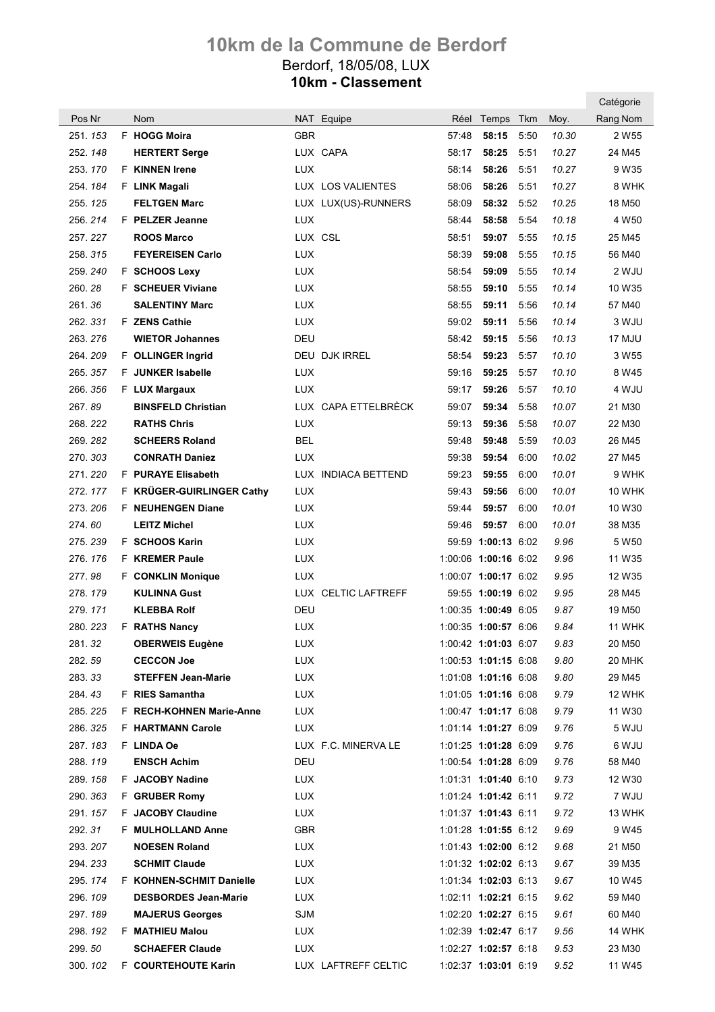|          |                             |            |                      |       |                      |      |       | Catégorie          |
|----------|-----------------------------|------------|----------------------|-------|----------------------|------|-------|--------------------|
| Pos Nr   | <b>Nom</b>                  |            | NAT Equipe           | Réel  | Temps                | Tkm  | Moy.  | Rang Nom           |
| 251.153  | F HOGG Moira                | GBR        |                      | 57:48 | 58:15                | 5:50 | 10.30 | 2 W <sub>55</sub>  |
| 252.148  | <b>HERTERT Serge</b>        |            | LUX CAPA             | 58:17 | 58:25                | 5:51 | 10.27 | 24 M45             |
| 253.170  | <b>F</b> KINNEN Irene       | <b>LUX</b> |                      | 58:14 | 58:26                | 5:51 | 10.27 | 9 W35              |
| 254, 184 | F LINK Magali               |            | LUX LOS VALIENTES    | 58:06 | 58:26                | 5:51 | 10.27 | 8 WHK              |
| 255.125  | <b>FELTGEN Marc</b>         |            | LUX LUX(US)-RUNNERS  | 58:09 | 58:32                | 5:52 | 10.25 | 18 M <sub>50</sub> |
| 256.214  | F PELZER Jeanne             | <b>LUX</b> |                      | 58:44 | 58:58                | 5:54 | 10.18 | 4 W50              |
| 257.227  | <b>ROOS Marco</b>           |            | LUX CSL              | 58:51 | 59:07                | 5:55 | 10.15 | 25 M45             |
| 258.315  | <b>FEYEREISEN Carlo</b>     | <b>LUX</b> |                      | 58:39 | 59:08                | 5:55 | 10.15 | 56 M40             |
| 259.240  | F SCHOOS Lexy               | <b>LUX</b> |                      | 58:54 | 59:09                | 5:55 | 10.14 | 2 WJU              |
| 260.28   | <b>F</b> SCHEUER Viviane    | <b>LUX</b> |                      | 58:55 | 59:10                | 5:55 | 10.14 | 10 W35             |
| 261.36   | <b>SALENTINY Marc</b>       | <b>LUX</b> |                      | 58:55 | 59:11                | 5:56 | 10.14 | 57 M40             |
| 262.331  | F ZENS Cathie               | <b>LUX</b> |                      | 59:02 | 59:11                | 5:56 | 10.14 | 3 WJU              |
| 263.276  | <b>WIETOR Johannes</b>      | DEU        |                      | 58:42 | 59:15                | 5:56 | 10.13 | 17 MJU             |
| 264.209  | F OLLINGER Ingrid           |            | <b>DEU DJK IRREL</b> | 58:54 | 59:23                | 5:57 | 10.10 | 3 W55              |
| 265.357  | <b>F</b> JUNKER Isabelle    | <b>LUX</b> |                      | 59:16 | 59:25                | 5:57 | 10.10 | 8 W <sub>45</sub>  |
| 266.356  | F LUX Margaux               | <b>LUX</b> |                      | 59:17 | 59:26                | 5:57 | 10.10 | 4 WJU              |
| 267.89   | <b>BINSFELD Christian</b>   |            | LUX CAPA ETTELBRÉCK  | 59:07 | 59:34                | 5:58 | 10.07 | 21 M30             |
| 268.222  | <b>RATHS Chris</b>          | <b>LUX</b> |                      | 59:13 | 59:36                | 5:58 | 10.07 | 22 M30             |
| 269.282  | <b>SCHEERS Roland</b>       | <b>BEL</b> |                      | 59:48 | 59:48                | 5:59 | 10.03 | 26 M45             |
| 270.303  | <b>CONRATH Daniez</b>       | <b>LUX</b> |                      | 59:38 | 59:54                | 6:00 | 10.02 | 27 M45             |
| 271.220  | F PURAYE Elisabeth          |            | LUX INDIACA BETTEND  | 59:23 | 59:55                | 6:00 | 10.01 | 9 WHK              |
| 272.177  | F KRÜGER-GUIRLINGER Cathy   | <b>LUX</b> |                      | 59:43 | 59:56                | 6:00 | 10.01 | <b>10 WHK</b>      |
| 273.206  | <b>F</b> NEUHENGEN Diane    | <b>LUX</b> |                      | 59:44 | 59:57                | 6:00 | 10.01 | 10 W30             |
| 274.60   | <b>LEITZ Michel</b>         | <b>LUX</b> |                      | 59:46 | 59:57                | 6:00 | 10.01 | 38 M35             |
| 275.239  | F SCHOOS Karin              | LUX        |                      |       | 59:59 1:00:13 6:02   |      | 9.96  | 5 W50              |
| 276.176  | <b>F</b> KREMER Paule       | <b>LUX</b> |                      |       | 1:00:06 1:00:16 6:02 |      | 9.96  | 11 W35             |
| 277.98   | F CONKLIN Monique           | <b>LUX</b> |                      |       | 1:00:07 1:00:17 6:02 |      | 9.95  | 12 W35             |
| 278.179  | <b>KULINNA Gust</b>         |            | LUX CELTIC LAFTREFF  |       | 59:55 1:00:19 6:02   |      | 9.95  | 28 M45             |
| 279.171  | <b>KLEBBA Rolf</b>          | DEU        |                      |       | 1:00:35 1:00:49 6:05 |      | 9.87  | 19 M <sub>50</sub> |
| 280.223  | <b>F</b> RATHS Nancy        | LUX        |                      |       | 1:00:35 1:00:57 6:06 |      | 9.84  | 11 WHK             |
| 281.32   | <b>OBERWEIS Eugène</b>      | <b>LUX</b> |                      |       | 1:00:42 1:01:03 6:07 |      | 9.83  | 20 M50             |
| 282.59   | <b>CECCON Joe</b>           | <b>LUX</b> |                      |       | 1:00:53 1:01:15 6:08 |      | 9.80  | 20 MHK             |
| 283.33   | <b>STEFFEN Jean-Marie</b>   | <b>LUX</b> |                      |       | 1:01:08 1:01:16 6:08 |      | 9.80  | 29 M45             |
| 284.43   | <b>F</b> RIES Samantha      | <b>LUX</b> |                      |       | 1:01:05 1:01:16 6:08 |      | 9.79  | <b>12 WHK</b>      |
| 285.225  | F RECH-KOHNEN Marie-Anne    | <b>LUX</b> |                      |       | 1:00:47 1:01:17 6:08 |      | 9.79  | 11 W30             |
| 286.325  | <b>F HARTMANN Carole</b>    | <b>LUX</b> |                      |       | 1:01:14 1:01:27 6:09 |      | 9.76  | 5 WJU              |
| 287.183  | F LINDA Oe                  |            | LUX F.C. MINERVA LE  |       | 1:01:25 1:01:28 6:09 |      | 9.76  | 6 WJU              |
| 288.119  | <b>ENSCH Achim</b>          | DEU        |                      |       | 1:00:54 1:01:28 6:09 |      | 9.76  | 58 M40             |
| 289.158  | F JACOBY Nadine             | <b>LUX</b> |                      |       | 1:01:31 1:01:40 6:10 |      | 9.73  | 12 W30             |
| 290.363  | F GRUBER Romy               | <b>LUX</b> |                      |       | 1:01:24 1:01:42 6:11 |      | 9.72  | 7 WJU              |
| 291.157  | F JACOBY Claudine           | <b>LUX</b> |                      |       | 1:01:37 1:01:43 6:11 |      | 9.72  | 13 WHK             |
| 292.31   | F MULHOLLAND Anne           | <b>GBR</b> |                      |       | 1:01:28 1:01:55 6:12 |      | 9.69  | 9 W45              |
| 293.207  | <b>NOESEN Roland</b>        | <b>LUX</b> |                      |       | 1:01:43 1:02:00 6:12 |      | 9.68  | 21 M50             |
| 294.233  | <b>SCHMIT Claude</b>        | <b>LUX</b> |                      |       | 1:01:32 1:02:02 6:13 |      | 9.67  | 39 M35             |
| 295.174  | F KOHNEN-SCHMIT Danielle    | <b>LUX</b> |                      |       | 1:01:34 1:02:03 6:13 |      | 9.67  | 10 W45             |
| 296.109  | <b>DESBORDES Jean-Marie</b> | <b>LUX</b> |                      |       | 1:02:11 1:02:21 6:15 |      | 9.62  | 59 M40             |
| 297.189  | <b>MAJERUS Georges</b>      | <b>SJM</b> |                      |       | 1:02:20 1:02:27 6:15 |      | 9.61  | 60 M40             |
| 298.192  | F MATHIEU Malou             | <b>LUX</b> |                      |       | 1:02:39 1:02:47 6:17 |      | 9.56  | 14 WHK             |
| 299.50   | <b>SCHAEFER Claude</b>      | LUX.       |                      |       | 1:02:27 1:02:57 6:18 |      | 9.53  | 23 M30             |
| 300.102  | F COURTEHOUTE Karin         |            | LUX LAFTREFF CELTIC  |       | 1:02:37 1:03:01 6:19 |      | 9.52  | 11 W45             |